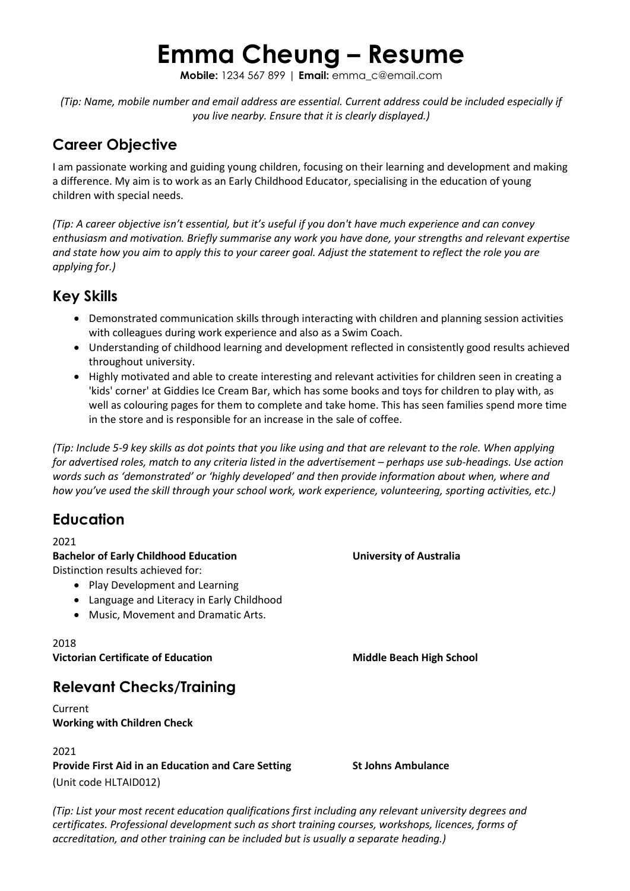# **Emma Cheung – Resume**

**Mobile:** 1234 567 899 | **Email:** emma\_c@email.com

*(Tip: Name, mobile number and email address are essential. Current address could be included especially if you live nearby. Ensure that it is clearly displayed.)*

# **Career Objective**

I am passionate working and guiding young children, focusing on their learning and development and making a difference. My aim is to work as an Early Childhood Educator, specialising in the education of young children with special needs.

*(Tip: A career objective isn't essential, but it's useful if you don't have much experience and can convey enthusiasm and motivation. Briefly summarise any work you have done, your strengths and relevant expertise and state how you aim to apply this to your career goal. Adjust the statement to reflect the role you are applying for.)* 

# **Key Skills**

- Demonstrated communication skills through interacting with children and planning session activities with colleagues during work experience and also as a Swim Coach.
- Understanding of childhood learning and development reflected in consistently good results achieved throughout university.
- Highly motivated and able to create interesting and relevant activities for children seen in creating a 'kids' corner' at Giddies Ice Cream Bar, which has some books and toys for children to play with, as well as colouring pages for them to complete and take home. This has seen families spend more time in the store and is responsible for an increase in the sale of coffee.

*(Tip: Include 5-9 key skills as dot points that you like using and that are relevant to the role. When applying for advertised roles, match to any criteria listed in the advertisement – perhaps use sub-headings. Use action words such as 'demonstrated' or 'highly developed' and then provide information about when, where and how you've used the skill through your school work, work experience, volunteering, sporting activities, etc.)*

# **Education**

2021

**Bachelor of Early Childhood Education University of Australia** Distinction results achieved for:

- Play Development and Learning
- Language and Literacy in Early Childhood
- Music, Movement and Dramatic Arts.

## 2018

**Victorian Certificate of Education Middle Beach High School** 

**Relevant Checks/Training**

Current **Working with Children Check**

### 2021

**Provide First Aid in an Education and Care Setting St Johns Ambulance** (Unit code HLTAID012)

*(Tip: List your most recent education qualifications first including any relevant university degrees and certificates. Professional development such as short training courses, workshops, licences, forms of accreditation, and other training can be included but is usually a separate heading.)*